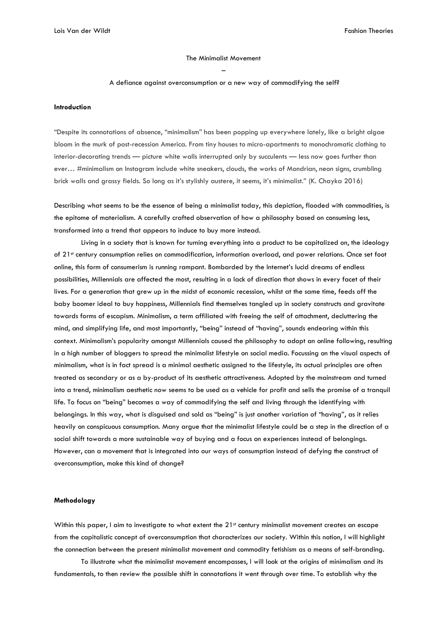#### The Minimalist Movement

#### –

#### A defiance against overconsumption or a new way of commodifying the self?

#### **Introduction**

"Despite its connotations of absence, "minimalism" has been popping up everywhere lately, like a bright algae bloom in the murk of post-recession America. From tiny houses to micro-apartments to monochromatic clothing to interior-decorating trends — picture white walls interrupted only by succulents — less now goes further than ever… #minimalism on Instagram include white sneakers, clouds, the works of Mondrian, neon signs, crumbling brick walls and grassy fields. So long as it's stylishly austere, it seems, it's minimalist." (K. Chayka 2016)

Describing what seems to be the essence of being a minimalist today, this depiction, flooded with commodities, is the epitome of materialism. A carefully crafted observation of how a philosophy based on consuming less, transformed into a trend that appears to induce to buy more instead.

Living in a society that is known for turning everything into a product to be capitalized on, the ideology of 21st century consumption relies on commodification, information overload, and power relations. Once set foot online, this form of consumerism is running rampant. Bombarded by the Internet's lucid dreams of endless possibilities, Millennials are affected the most, resulting in a lack of direction that shows in every facet of their lives. For a generation that grew up in the midst of economic recession, whilst at the same time, feeds off the baby boomer ideal to buy happiness, Millennials find themselves tangled up in society constructs and gravitate towards forms of escapism. Minimalism, a term affiliated with freeing the self of attachment, decluttering the mind, and simplifying life, and most importantly, "being" instead of "having", sounds endearing within this context. Minimalism's popularity amongst Millennials caused the philosophy to adopt an online following, resulting in a high number of bloggers to spread the minimalist lifestyle on social media. Focussing on the visual aspects of minimalism, what is in fact spread is a minimal aesthetic assigned to the lifestyle, its actual principles are often treated as secondary or as a by-product of its aesthetic attractiveness. Adopted by the mainstream and turned into a trend, minimalism aesthetic now seems to be used as a vehicle for profit and sells the promise of a tranquil life. To focus on "being" becomes a way of commodifying the self and living through the identifying with belongings. In this way, what is disguised and sold as "being" is just another variation of "having", as it relies heavily on conspicuous consumption. Many argue that the minimalist lifestyle could be a step in the direction of a social shift towards a more sustainable way of buying and a focus on experiences instead of belongings. However, can a movement that is integrated into our ways of consumption instead of defying the construct of overconsumption, make this kind of change?

## **Methodology**

Within this paper, I aim to investigate to what extent the 21<sup>st</sup> century minimalist movement creates an escape from the capitalistic concept of overconsumption that characterizes our society. Within this notion, I will highlight the connection between the present minimalist movement and commodity fetishism as a means of self-branding.

To illustrate what the minimalist movement encompasses, I will look at the origins of minimalism and its fundamentals, to then review the possible shift in connotations it went through over time. To establish why the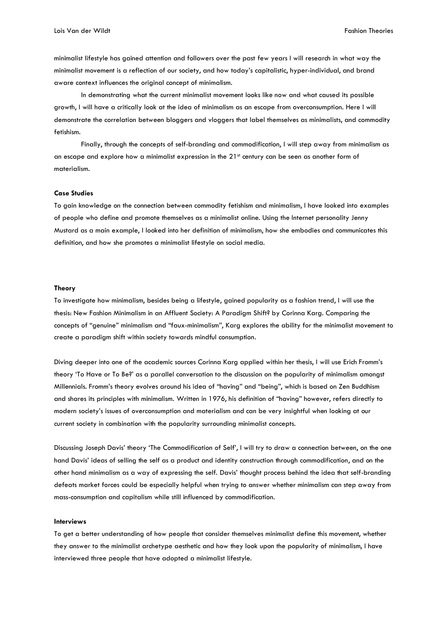minimalist lifestyle has gained attention and followers over the past few years I will research in what way the minimalist movement is a reflection of our society, and how today's capitalistic, hyper-individual, and brand aware context influences the original concept of minimalism.

In demonstrating what the current minimalist movement looks like now and what caused its possible growth, I will have a critically look at the idea of minimalism as an escape from overconsumption. Here I will demonstrate the correlation between bloggers and vloggers that label themselves as minimalists, and commodity fetishism.

Finally, through the concepts of self-branding and commodification, I will step away from minimalism as an escape and explore how a minimalist expression in the 21<sup>st</sup> century can be seen as another form of materialism.

### **Case Studies**

To gain knowledge on the connection between commodity fetishism and minimalism, I have looked into examples of people who define and promote themselves as a minimalist online. Using the Internet personality Jenny Mustard as a main example, I looked into her definition of minimalism, how she embodies and communicates this definition, and how she promotes a minimalist lifestyle on social media.

#### **Theory**

To investigate how minimalism, besides being a lifestyle, gained popularity as a fashion trend, I will use the thesis: New Fashion Minimalism in an Affluent Society: A Paradigm Shift? by Corinna Karg. Comparing the concepts of "genuine" minimalism and "faux-minimalism", Karg explores the ability for the minimalist movement to create a paradigm shift within society towards mindful consumption.

Diving deeper into one of the academic sources Corinna Karg applied within her thesis, I will use Erich Fromm's theory 'To Have or To Be?' as a parallel conversation to the discussion on the popularity of minimalism amongst Millennials. Fromm's theory evolves around his idea of "having" and "being", which is based on Zen Buddhism and shares its principles with minimalism. Written in 1976, his definition of "having" however, refers directly to modern society's issues of overconsumption and materialism and can be very insightful when looking at our current society in combination with the popularity surrounding minimalist concepts.

Discussing Joseph Davis' theory 'The Commodification of Self', I will try to draw a connection between, on the one hand Davis' ideas of selling the self as a product and identity construction through commodification, and on the other hand minimalism as a way of expressing the self. Davis' thought process behind the idea that self-branding defeats market forces could be especially helpful when trying to answer whether minimalism can step away from mass-consumption and capitalism while still influenced by commodification.

#### **Interviews**

To get a better understanding of how people that consider themselves minimalist define this movement, whether they answer to the minimalist archetype aesthetic and how they look upon the popularity of minimalism, I have interviewed three people that have adopted a minimalist lifestyle.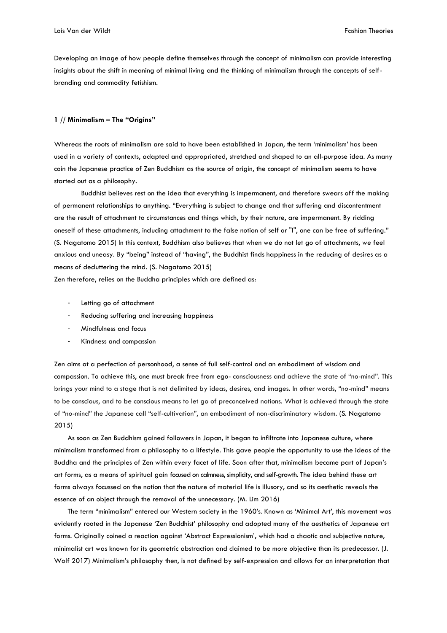Developing an image of how people define themselves through the concept of minimalism can provide interesting insights about the shift in meaning of minimal living and the thinking of minimalism through the concepts of selfbranding and commodity fetishism.

## **1 // Minimalism – The "Origins"**

Whereas the roots of minimalism are said to have been established in Japan, the term 'minimalism' has been used in a variety of contexts, adapted and appropriated, stretched and shaped to an all-purpose idea. As many coin the Japanese practice of Zen Buddhism as the source of origin, the concept of minimalism seems to have started out as a philosophy.

Buddhist believes rest on the idea that everything is impermanent, and therefore swears off the making of permanent relationships to anything. "Everything is subject to change and that suffering and discontentment are the result of attachment to circumstances and things which, by their nature, are impermanent. By ridding oneself of these attachments, including attachment to the false notion of self or "I", one can be free of suffering." (S. Nagatomo 2015) In this context, Buddhism also believes that when we do not let go of attachments, we feel anxious and uneasy. By "being" instead of "having", the Buddhist finds happiness in the reducing of desires as a means of decluttering the mind. (S. Nagatomo 2015)

Zen therefore, relies on the Buddha principles which are defined as:

- Letting go of attachment
- Reducing suffering and increasing happiness
- Mindfulness and focus
- Kindness and compassion

Zen aims at a perfection of personhood, a sense of full self-control and an embodiment of wisdom and compassion. To achieve this, one must break free from ego- consciousness and achieve the state of "no-mind". This brings your mind to a stage that is not delimited by ideas, desires, and images. In other words, "no-mind" means to be conscious, and to be conscious means to let go of preconceived notions. What is achieved through the state of "no-mind" the Japanese call "self-cultivation", an embodiment of non-discriminatory wisdom. (S. Nagatomo 2015)

As soon as Zen Buddhism gained followers in Japan, it began to infiltrate into Japanese culture, where minimalism transformed from a philosophy to a lifestyle. This gave people the opportunity to use the ideas of the Buddha and the principles of Zen within every facet of life. Soon after that, minimalism became part of Japan's art forms, as a means of spiritual gain focused on calmness, simplicity, and self-growth. The idea behind these art forms always focussed on the notion that the nature of material life is illusory, and so its aesthetic reveals the essence of an object through the removal of the unnecessary. (M. Lim 2016)

The term "minimalism" entered our Western society in the 1960's. Known as 'Minimal Art', this movement was evidently rooted in the Japanese 'Zen Buddhist' philosophy and adopted many of the aesthetics of Japanese art forms. Originally coined a reaction against 'Abstract Expressionism', which had a chaotic and subjective nature, minimalist art was known for its geometric abstraction and claimed to be more objective than its predecessor. (J. Wolf 2017) Minimalism's philosophy then, is not defined by self-expression and allows for an interpretation that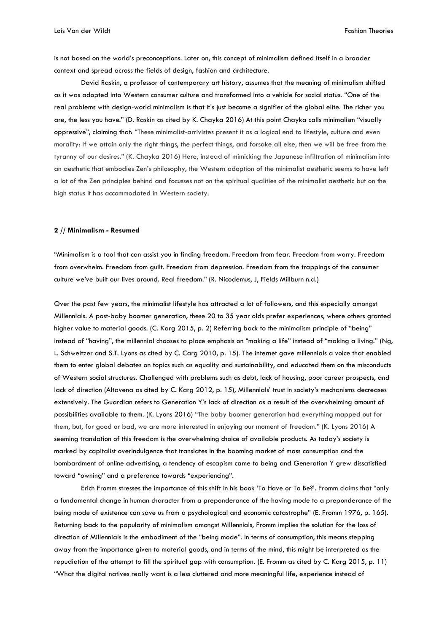is not based on the world's preconceptions. Later on, this concept of minimalism defined itself in a broader context and spread across the fields of design, fashion and architecture.

David Raskin, a professor of contemporary art history, assumes that the meaning of minimalism shifted as it was adopted into Western consumer culture and transformed into a vehicle for social status. "One of the real problems with design-world minimalism is that it's just become a signifier of the global elite. The richer you are, the less you have." (D. Raskin as cited by K. Chayka 2016) At this point Chayka calls minimalism "visually oppressive", claiming that: "These minimalist-arrivistes present it as a logical end to lifestyle, culture and even morality: If we attain only the right things, the perfect things, and forsake all else, then we will be free from the tyranny of our desires." (K. Chayka 2016) Here, instead of mimicking the Japanese infiltration of minimalism into an aesthetic that embodies Zen's philosophy, the Western adoption of the minimalist aesthetic seems to have left a lot of the Zen principles behind and focusses not on the spiritual qualities of the minimalist aesthetic but on the high status it has accommodated in Western society.

#### **2 // Minimalism - Resumed**

"Minimalism is a tool that can assist you in finding freedom. Freedom from fear. Freedom from worry. Freedom from overwhelm. Freedom from guilt. Freedom from depression. Freedom from the trappings of the consumer culture we've built our lives around. Real freedom." (R. Nicodemus, J, Fields Millburn n.d.)

Over the past few years, the minimalist lifestyle has attracted a lot of followers, and this especially amongst Millennials. A post-baby boomer generation, these 20 to 35 year olds prefer experiences, where others granted higher value to material goods. (C. Karg 2015, p. 2) Referring back to the minimalism principle of "being" instead of "having", the millennial chooses to place emphasis on "making a life" instead of "making a living." (Ng, L. Schweitzer and S.T. Lyons as cited by C. Carg 2010, p. 15). The internet gave millennials a voice that enabled them to enter global debates on topics such as equality and sustainability, and educated them on the misconducts of Western social structures. Challenged with problems such as debt, lack of housing, poor career prospects, and lack of direction (Altavena as cited by C. Karg 2012, p. 15), Millennials' trust in society's mechanisms decreases extensively. The Guardian refers to Generation Y's lack of direction as a result of the overwhelming amount of possibilities available to them. (K. Lyons 2016) "The baby boomer generation had everything mapped out for them, but, for good or bad, we are more interested in enjoying our moment of freedom." (K. Lyons 2016) A seeming translation of this freedom is the overwhelming choice of available products. As today's society is marked by capitalist overindulgence that translates in the booming market of mass consumption and the bombardment of online advertising, a tendency of escapism came to being and Generation Y grew dissatisfied toward "owning" and a preference towards "experiencing".

Erich Fromm stresses the importance of this shift in his book 'To Have or To Be?'. Fromm claims that "only a fundamental change in human character from a preponderance of the having mode to a preponderance of the being mode of existence can save us from a psychological and economic catastrophe" (E. Fromm 1976, p. 165). Returning back to the popularity of minimalism amongst Millennials, Fromm implies the solution for the loss of direction of Millennials is the embodiment of the "being mode". In terms of consumption, this means stepping away from the importance given to material goods, and in terms of the mind, this might be interpreted as the repudiation of the attempt to fill the spiritual gap with consumption. (E. Fromm as cited by C. Karg 2015, p. 11) "What the digital natives really want is a less cluttered and more meaningful life, experience instead of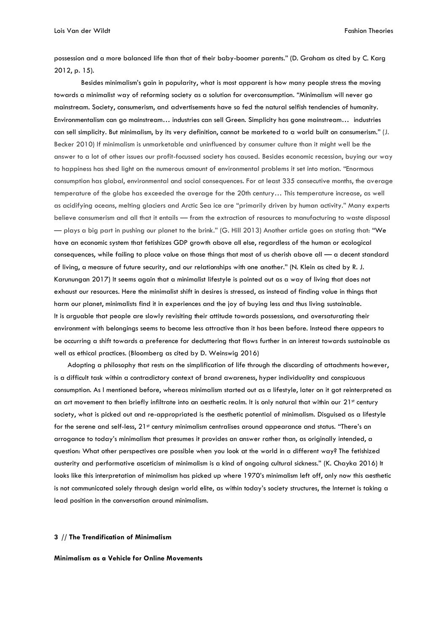possession and a more balanced life than that of their baby-boomer parents." (D. Graham as cited by C. Karg 2012, p. 15).

Besides minimalism's gain in popularity, what is most apparent is how many people stress the moving towards a minimalist way of reforming society as a solution for overconsumption. "Minimalism will never go mainstream. Society, consumerism, and advertisements have so fed the natural selfish tendencies of humanity. Environmentalism can go mainstream… industries can sell Green. Simplicity has gone mainstream… industries can sell simplicity. But minimalism, by its very definition, cannot be marketed to a world built on consumerism." (J. Becker 2010) If minimalism is unmarketable and uninfluenced by consumer culture than it might well be the answer to a lot of other issues our profit-focussed society has caused. Besides economic recession, buying our way to happiness has shed light on the numerous amount of environmental problems it set into motion. "Enormous consumption has global, environmental and social consequences. For at least 335 consecutive months, the average temperature of the globe has exceeded the average for the 20th century… This temperature increase, as well as acidifying oceans, melting glaciers and Arctic Sea ice are "primarily driven by human activity." Many experts believe consumerism and all that it entails — from the extraction of resources to manufacturing to waste disposal — plays a big part in pushing our planet to the brink." (G. Hill 2013) Another article goes on stating that: "We have an economic system that fetishizes GDP growth above all else, regardless of the human or ecological consequences, while failing to place value on those things that most of us cherish above all — a decent standard of living, a measure of future security, and our relationships with one another." (N. Klein as cited by R. J. Karunungan 2017) It seems again that a minimalist lifestyle is pointed out as a way of living that does not exhaust our resources. Here the minimalist shift in desires is stressed, as instead of finding value in things that harm our planet, minimalists find it in experiences and the joy of buying less and thus living sustainable. It is arguable that people are slowly revisiting their attitude towards possessions, and oversaturating their environment with belongings seems to become less attractive than it has been before. Instead there appears to be occurring a shift towards a preference for decluttering that flows further in an interest towards sustainable as well as ethical practices. (Bloomberg as cited by D. Weinswig 2016)

Adopting a philosophy that rests on the simplification of life through the discarding of attachments however, is a difficult task within a contradictory context of brand awareness, hyper individuality and conspicuous consumption. As I mentioned before, whereas minimalism started out as a lifestyle, later on it got reinterpreted as an art movement to then briefly infiltrate into an aesthetic realm. It is only natural that within our 21<sup>st</sup> century society, what is picked out and re-appropriated is the aesthetic potential of minimalism. Disguised as a lifestyle for the serene and self-less, 21<sup>st</sup> century minimalism centralises around appearance and status. "There's an arrogance to today's minimalism that presumes it provides an answer rather than, as originally intended, a question: What other perspectives are possible when you look at the world in a different way? The fetishized austerity and performative asceticism of minimalism is a kind of ongoing cultural sickness." (K. Chayka 2016) It looks like this interpretation of minimalism has picked up where 1970's minimalism left off, only now this aesthetic is not communicated solely through design world elite, as within today's society structures, the Internet is taking a lead position in the conversation around minimalism.

## **3 // The Trendification of Minimalism**

**Minimalism as a Vehicle for Online Movements**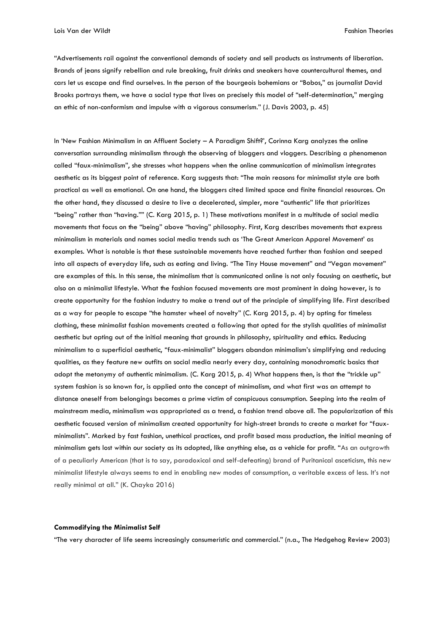"Advertisements rail against the conventional demands of society and sell products as instruments of liberation. Brands of jeans signify rebellion and rule breaking, fruit drinks and sneakers have countercultural themes, and cars let us escape and find ourselves. In the person of the bourgeois bohemians or "Bobos," as journalist David Brooks portrays them, we have a social type that lives on precisely this model of "self-determination," merging an ethic of non-conformism and impulse with a vigorous consumerism." (J. Davis 2003, p. 45)

In 'New Fashion Minimalism in an Affluent Society – A Paradigm Shift?', Corinna Karg analyzes the online conversation surrounding minimalism through the observing of bloggers and vloggers. Describing a phenomenon called "faux-minimalism", she stresses what happens when the online communication of minimalism integrates aesthetic as its biggest point of reference. Karg suggests that: "The main reasons for minimalist style are both practical as well as emotional. On one hand, the bloggers cited limited space and finite financial resources. On the other hand, they discussed a desire to live a decelerated, simpler, more "authentic" life that prioritizes "being" rather than "having."" (C. Karg 2015, p. 1) These motivations manifest in a multitude of social media movements that focus on the "being" above "having" philosophy. First, Karg describes movements that express minimalism in materials and names social media trends such as 'The Great American Apparel Movement' as examples. What is notable is that these sustainable movements have reached further than fashion and seeped into all aspects of everyday life, such as eating and living. "The Tiny House movement" and "Vegan movement" are examples of this. In this sense, the minimalism that is communicated online is not only focusing on aesthetic, but also on a minimalist lifestyle. What the fashion focused movements are most prominent in doing however, is to create opportunity for the fashion industry to make a trend out of the principle of simplifying life. First described as a way for people to escape "the hamster wheel of novelty" (C. Karg 2015, p. 4) by opting for timeless clothing, these minimalist fashion movements created a following that opted for the stylish qualities of minimalist aesthetic but opting out of the initial meaning that grounds in philosophy, spirituality and ethics. Reducing minimalism to a superficial aesthetic, "faux-minimalist" bloggers abandon minimalism's simplifying and reducing qualities, as they feature new outfits on social media nearly every day, containing monochromatic basics that adopt the metonymy of authentic minimalism. (C. Karg 2015, p. 4) What happens then, is that the "trickle up" system fashion is so known for, is applied onto the concept of minimalism, and what first was an attempt to distance oneself from belongings becomes a prime victim of conspicuous consumption. Seeping into the realm of mainstream media, minimalism was appropriated as a trend, a fashion trend above all. The popularization of this aesthetic focused version of minimalism created opportunity for high-street brands to create a market for "fauxminimalists". Marked by fast fashion, unethical practices, and profit based mass production, the initial meaning of minimalism gets lost within our society as its adopted, like anything else, as a vehicle for profit. "As an outgrowth of a peculiarly American (that is to say, paradoxical and self-defeating) brand of Puritanical asceticism, this new minimalist lifestyle always seems to end in enabling new modes of consumption, a veritable excess of less. It's not really minimal at all." (K. Chayka 2016)

#### **Commodifying the Minimalist Self**

"The very character of life seems increasingly consumeristic and commercial." (n.a., The Hedgehog Review 2003)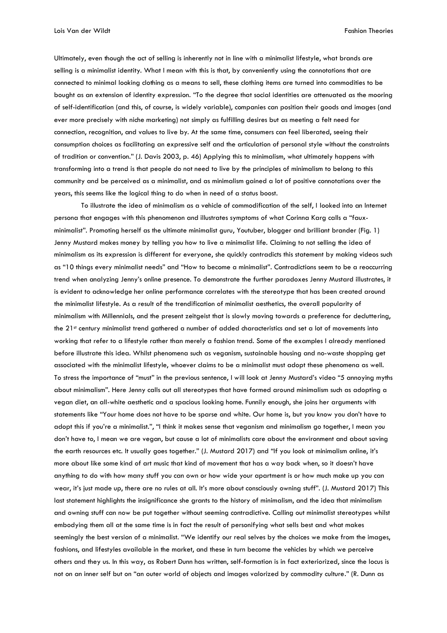Lois Van der Wildt Fashion Theories

Ultimately, even though the act of selling is inherently not in line with a minimalist lifestyle, what brands are selling is a minimalist identity. What I mean with this is that, by conveniently using the connotations that are connected to minimal looking clothing as a means to sell, these clothing items are turned into commodities to be bought as an extension of identity expression. "To the degree that social identities are attenuated as the mooring of self-identification (and this, of course, is widely variable), companies can position their goods and images (and ever more precisely with niche marketing) not simply as fulfilling desires but as meeting a felt need for connection, recognition, and values to live by. At the same time, consumers can feel liberated, seeing their consumption choices as facilitating an expressive self and the articulation of personal style without the constraints of tradition or convention." (J. Davis 2003, p. 46) Applying this to minimalism, what ultimately happens with transforming into a trend is that people do not need to live by the principles of minimalism to belong to this community and be perceived as a minimalist, and as minimalism gained a lot of positive connotations over the years, this seems like the logical thing to do when in need of a status boost.

To illustrate the idea of minimalism as a vehicle of commodification of the self, I looked into an Internet persona that engages with this phenomenon and illustrates symptoms of what Corinna Karg calls a "fauxminimalist". Promoting herself as the ultimate minimalist guru, Youtuber, blogger and brilliant brander (Fig. 1) Jenny Mustard makes money by telling you how to live a minimalist life. Claiming to not selling the idea of minimalism as its expression is different for everyone, she quickly contradicts this statement by making videos such as "10 things every minimalist needs" and "How to become a minimalist". Contradictions seem to be a reoccurring trend when analyzing Jenny's online presence. To demonstrate the further paradoxes Jenny Mustard illustrates, it is evident to acknowledge her online performance correlates with the stereotype that has been created around the minimalist lifestyle. As a result of the trendification of minimalist aesthetics, the overall popularity of minimalism with Millennials, and the present zeitgeist that is slowly moving towards a preference for decluttering, the 21st century minimalist trend gathered a number of added characteristics and set a lot of movements into working that refer to a lifestyle rather than merely a fashion trend. Some of the examples I already mentioned before illustrate this idea. Whilst phenomena such as veganism, sustainable housing and no-waste shopping get associated with the minimalist lifestyle, whoever claims to be a minimalist must adopt these phenomena as well. To stress the importance of "must" in the previous sentence, I will look at Jenny Mustard's video "5 annoying myths about minimalism". Here Jenny calls out all stereotypes that have formed around minimalism such as adopting a vegan diet, an all-white aesthetic and a spacious looking home. Funnily enough, she joins her arguments with statements like "Your home does not have to be sparse and white. Our home is, but you know you don't have to adopt this if you're a minimalist.", "I think it makes sense that veganism and minimalism go together, I mean you don't have to, I mean we are vegan, but cause a lot of minimalists care about the environment and about saving the earth resources etc. It usually goes together." (J. Mustard 2017) and "If you look at minimalism online, it's more about like some kind of art music that kind of movement that has a way back when, so it doesn't have anything to do with how many stuff you can own or how wide your apartment is or how much make up you can wear, it's just made up, there are no rules at all. It's more about consciously owning stuff". (J. Mustard 2017) This last statement highlights the insignificance she grants to the history of minimalism, and the idea that minimalism and owning stuff can now be put together without seeming contradictive. Calling out minimalist stereotypes whilst embodying them all at the same time is in fact the result of personifying what sells best and what makes seemingly the best version of a minimalist. "We identify our real selves by the choices we make from the images, fashions, and lifestyles available in the market, and these in turn become the vehicles by which we perceive others and they us. In this way, as Robert Dunn has written, self-formation is in fact exteriorized, since the locus is not on an inner self but on "an outer world of objects and images valorized by commodity culture." (R. Dunn as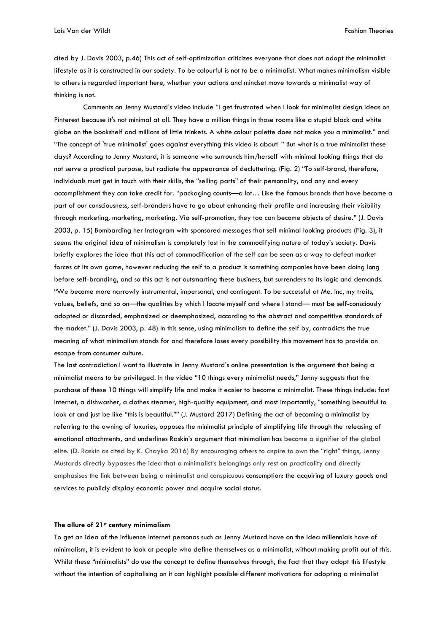Lois Van der Wildt Fashion Theories

cited by J. Davis 2003, p.46) This act of self-optimization criticizes everyone that does not adopt the minimalist lifestyle as it is constructed in our society. To be colourful is not to be a minimalist. What makes minimalism visible to others is regarded important here, whether your actions and mindset move towards a minimalist way of thinking is not.

Comments on Jenny Mustard's video include "I get frustrated when I look for minimalist design ideas on Pinterest because it's not minimal at all. They have a million things in those rooms like a stupid black and white globe on the bookshelf and millions of little trinkets. A white colour palette does not make you a minimalist." and "The concept of 'true minimalist' goes against everything this video is about! " But what is a true minimalist these days? According to Jenny Mustard, it is someone who surrounds him/herself with minimal looking things that do not serve a practical purpose, but radiate the appearance of decluttering. (Fig. 2) "To self-brand, therefore, individuals must get in touch with their skills, the "selling parts" of their personality, and any and every accomplishment they can take credit for. "packaging counts—a lot… Like the famous brands that have become a part of our consciousness, self-branders have to go about enhancing their profile and increasing their visibility through marketing, marketing, marketing. Via self-promotion, they too can become objects of desire." (J. Davis 2003, p. 15) Bombarding her Instagram with sponsored messages that sell minimal looking products (Fig. 3), it seems the original idea of minimalism is completely lost in the commodifying nature of today's society. Davis briefly explores the idea that this act of commodification of the self can be seen as a way to defeat market forces at its own game, however reducing the self to a product is something companies have been doing long before self-branding, and so this act is not outsmarting these business, but surrenders to its logic and demands. "We become more narrowly instrumental, impersonal, and contingent. To be successful at Me. Inc, my traits, values, beliefs, and so on—the qualities by which I locate myself and where I stand— must be self-consciously adopted or discarded, emphasized or deemphasized, according to the abstract and competitive standards of the market." (J. Davis 2003, p. 48) In this sense, using minimalism to define the self by, contradicts the true meaning of what minimalism stands for and therefore loses every possibility this movement has to provide an escape from consumer culture.

The last contradiction I want to illustrate in Jenny Mustard's online presentation is the argument that being a minimalist means to be privileged. In the video "10 things every minimalist needs," Jenny suggests that the purchase of these 10 things will simplify life and make it easier to become a minimalist. These things include: fast Internet, a dishwasher, a clothes steamer, high-quality equipment, and most importantly, "something beautiful to look at and just be like "this is beautiful."" (J. Mustard 2017) Defining the act of becoming a minimalist by referring to the owning of luxuries, opposes the minimalist principle of simplifying life through the releasing of emotional attachments, and underlines Raskin's argument that minimalism has become a signifier of the global elite. (D. Raskin as cited by K. Chayka 2016) By encouraging others to aspire to own the "right" things, Jenny Mustards directly bypasses the idea that a minimalist's belongings only rest on practicality and directly emphasises the link between being a minimalist and conspicuous consumption: the acquiring of luxury goods and services to publicly display economic power and acquire social status.

### **The allure of 21st century minimalism**

To get an idea of the influence Internet personas such as Jenny Mustard have on the idea millennials have of minimalism, it is evident to look at people who define themselves as a minimalist, without making profit out of this. Whilst these "minimalists" do use the concept to define themselves through, the fact that they adopt this lifestyle without the intention of capitalising on it can highlight possible different motivations for adopting a minimalist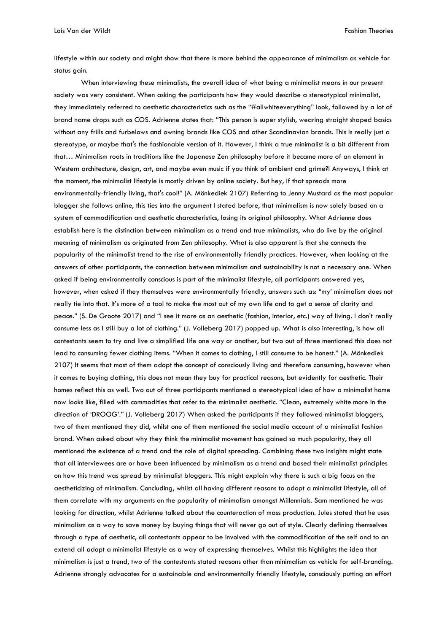Lois Van der Wildt Fashion Theories

lifestyle within our society and might show that there is more behind the appearance of minimalism as vehicle for status gain.

When interviewing these minimalists, the overall idea of what being a minimalist means in our present society was very consistent. When asking the participants how they would describe a stereotypical minimalist, they immediately referred to aesthetic characteristics such as the "#allwhiteeverything" look, followed by a lot of brand name drops such as COS. Adrienne states that: "This person is super stylish, wearing straight shaped basics without any frills and furbelows and owning brands like COS and other Scandinavian brands. This is really just a stereotype, or maybe that's the fashionable version of it. However, I think a true minimalist is a bit different from that… Minimalism roots in traditions like the Japanese Zen philosophy before it became more of an element in Western architecture, design, art, and maybe even music if you think of ambient and grime?! Anyways, I think at the moment, the minimalist lifestyle is mostly driven by online society. But hey, if that spreads more environmentally-friendly living, that's cool!" (A. Mönkediek 2107) Referring to Jenny Mustard as the most popular blogger she follows online, this ties into the argument I stated before, that minimalism is now solely based on a system of commodification and aesthetic characteristics, losing its original philosophy. What Adrienne does establish here is the distinction between minimalism as a trend and true minimalists, who do live by the original meaning of minimalism as originated from Zen philosophy. What is also apparent is that she connects the popularity of the minimalist trend to the rise of environmentally friendly practices. However, when looking at the answers of other participants, the connection between minimalism and sustainability is not a necessary one. When asked if being environmentally conscious is part of the minimalist lifestyle, all participants answered yes, however, when asked if they themselves were environmentally friendly, answers such as: "my' minimalism does not really tie into that. It's more of a tool to make the most out of my own life and to get a sense of clarity and peace." (S. De Groote 2017) and "I see it more as an aesthetic (fashion, interior, etc.) way of living. I don't really consume less as I still buy a lot of clothing." (J. Volleberg 2017) popped up. What is also interesting, is how all contestants seem to try and live a simplified life one way or another, but two out of three mentioned this does not lead to consuming fewer clothing items. "When it comes to clothing, I still consume to be honest." (A. Mönkediek 2107) It seems that most of them adopt the concept of consciously living and therefore consuming, however when it comes to buying clothing, this does not mean they buy for practical reasons, but evidently for aesthetic. Their homes reflect this as well. Two out of three participants mentioned a stereotypical idea of how a minimalist home now looks like, filled with commodities that refer to the minimalist aesthetic. "Clean, extremely white more in the direction of 'DROOG'." (J. Volleberg 2017) When asked the participants if they followed minimalist bloggers, two of them mentioned they did, whilst one of them mentioned the social media account of a minimalist fashion brand. When asked about why they think the minimalist movement has gained so much popularity, they all mentioned the existence of a trend and the role of digital spreading. Combining these two insights might state that all interviewees are or have been influenced by minimalism as a trend and based their minimalist principles on how this trend was spread by minimalist bloggers. This might explain why there is such a big focus on the aestheticizing of minimalism. Concluding, whilst all having different reasons to adopt a minimalist lifestyle, all of them correlate with my arguments on the popularity of minimalism amongst Millennials. Sam mentioned he was looking for direction, whilst Adrienne talked about the counteraction of mass production. Jules stated that he uses minimalism as a way to save money by buying things that will never go out of style. Clearly defining themselves through a type of aesthetic, all contestants appear to be involved with the commodification of the self and to an extend all adopt a minimalist lifestyle as a way of expressing themselves. Whilst this highlights the idea that minimalism is just a trend, two of the contestants stated reasons other than minimalism as vehicle for self-branding. Adrienne strongly advocates for a sustainable and environmentally friendly lifestyle, consciously putting an effort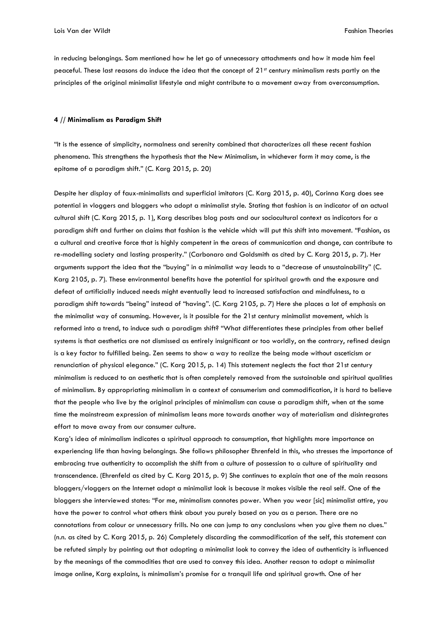in reducing belongings. Sam mentioned how he let go of unnecessary attachments and how it made him feel peaceful. These last reasons do induce the idea that the concept of 21st century minimalism rests partly on the principles of the original minimalist lifestyle and might contribute to a movement away from overconsumption.

#### **4 // Minimalism as Paradigm Shift**

"It is the essence of simplicity, normalness and serenity combined that characterizes all these recent fashion phenomena. This strengthens the hypothesis that the New Minimalism, in whichever form it may come, is the epitome of a paradigm shift." (C. Karg 2015, p. 20)

Despite her display of faux-minimalists and superficial imitators (C. Karg 2015, p. 40), Corinna Karg does see potential in vloggers and bloggers who adopt a minimalist style. Stating that fashion is an indicator of an actual cultural shift (C. Karg 2015, p. 1), Karg describes blog posts and our sociocultural context as indicators for a paradigm shift and further on claims that fashion is the vehicle which will put this shift into movement. "Fashion, as a cultural and creative force that is highly competent in the areas of communication and change, can contribute to re-modelling society and lasting prosperity." (Carbonaro and Goldsmith as cited by C. Karg 2015, p. 7). Her arguments support the idea that the "buying" in a minimalist way leads to a "decrease of unsustainability" (C. Karg 2105, p. 7). These environmental benefits have the potential for spiritual growth and the exposure and defeat of artificially induced needs might eventually lead to increased satisfaction and mindfulness, to a paradigm shift towards "being" instead of "having". (C. Karg 2105, p. 7) Here she places a lot of emphasis on the minimalist way of consuming. However, is it possible for the 21st century minimalist movement, which is reformed into a trend, to induce such a paradigm shift? "What differentiates these principles from other belief systems is that aesthetics are not dismissed as entirely insignificant or too worldly, on the contrary, refined design is a key factor to fulfilled being. Zen seems to show a way to realize the being mode without asceticism or renunciation of physical elegance." (C. Karg 2015, p. 14) This statement neglects the fact that 21st century minimalism is reduced to an aesthetic that is often completely removed from the sustainable and spiritual qualities of minimalism. By appropriating minimalism in a context of consumerism and commodification, it is hard to believe that the people who live by the original principles of minimalism can cause a paradigm shift, when at the same time the mainstream expression of minimalism leans more towards another way of materialism and disintegrates effort to move away from our consumer culture.

Karg's idea of minimalism indicates a spiritual approach to consumption, that highlights more importance on experiencing life than having belongings. She follows philosopher Ehrenfeld in this, who stresses the importance of embracing true authenticity to accomplish the shift from a culture of possession to a culture of spirituality and transcendence. (Ehrenfeld as cited by C. Karg 2015, p. 9) She continues to explain that one of the main reasons bloggers/vloggers on the Internet adopt a minimalist look is because it makes visible the real self. One of the bloggers she interviewed states: "For me, minimalism connotes power. When you wear [sic] minimalist attire, you have the power to control what others think about you purely based on you as a person. There are no connotations from colour or unnecessary frills. No one can jump to any conclusions when you give them no clues." (n.n. as cited by C. Karg 2015, p. 26) Completely discarding the commodification of the self, this statement can be refuted simply by pointing out that adopting a minimalist look to convey the idea of authenticity is influenced by the meanings of the commodities that are used to convey this idea. Another reason to adopt a minimalist image online, Karg explains, is minimalism's promise for a tranquil life and spiritual growth. One of her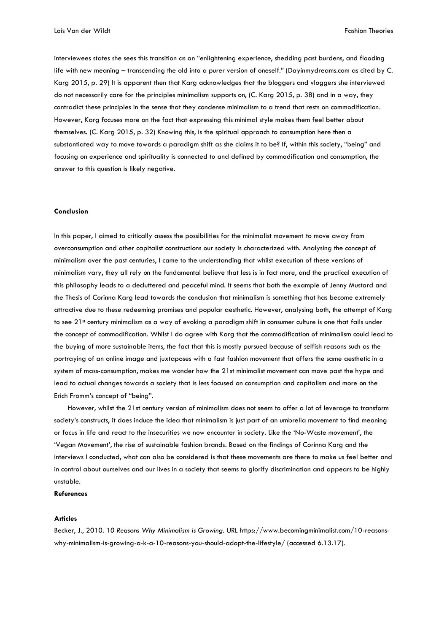interviewees states she sees this transition as an "enlightening experience, shedding past burdens, and flooding life with new meaning – transcending the old into a purer version of oneself." (Dayinmydreams.com as cited by C. Karg 2015, p. 29) It is apparent then that Karg acknowledges that the bloggers and vloggers she interviewed do not necessarily care for the principles minimalism supports on, (C. Karg 2015, p. 38) and in a way, they contradict these principles in the sense that they condense minimalism to a trend that rests on commodification. However, Karg focuses more on the fact that expressing this minimal style makes them feel better about themselves. (C. Karg 2015, p. 32) Knowing this, is the spiritual approach to consumption here then a substantiated way to move towards a paradigm shift as she claims it to be? If, within this society, "being" and focusing on experience and spirituality is connected to and defined by commodification and consumption, the answer to this question is likely negative.

#### **Conclusion**

In this paper, I aimed to critically assess the possibilities for the minimalist movement to move away from overconsumption and other capitalist constructions our society is characterized with. Analysing the concept of minimalism over the past centuries, I came to the understanding that whilst execution of these versions of minimalism vary, they all rely on the fundamental believe that less is in fact more, and the practical execution of this philosophy leads to a decluttered and peaceful mind. It seems that both the example of Jenny Mustard and the Thesis of Corinna Karg lead towards the conclusion that minimalism is something that has become extremely attractive due to these redeeming promises and popular aesthetic. However, analysing both, the attempt of Karg to see 21<sup>st</sup> century minimalism as a way of evoking a paradigm shift in consumer culture is one that fails under the concept of commodification. Whilst I do agree with Karg that the commodification of minimalism could lead to the buying of more sustainable items, the fact that this is mostly pursued because of selfish reasons such as the portraying of an online image and juxtaposes with a fast fashion movement that offers the same aesthetic in a system of mass-consumption, makes me wonder how the 21st minimalist movement can move past the hype and lead to actual changes towards a society that is less focused on consumption and capitalism and more on the Erich Fromm's concept of "being".

However, whilst the 21st century version of minimalism does not seem to offer a lot of leverage to transform society's constructs, it does induce the idea that minimalism is just part of an umbrella movement to find meaning or focus in life and react to the insecurities we now encounter in society. Like the 'No-Waste movement', the 'Vegan Movement', the rise of sustainable fashion brands. Based on the findings of Corinna Karg and the interviews I conducted, what can also be considered is that these movements are there to make us feel better and in control about ourselves and our lives in a society that seems to glorify discrimination and appears to be highly unstable.

## **References**

#### **Articles**

Becker, J., 2010. 1*0 Reasons Why Minimalism is Growing*. URL https://www.becomingminimalist.com/10-reasonswhy-minimalism-is-growing-a-k-a-10-reasons-you-should-adopt-the-lifestyle/ (accessed 6.13.17).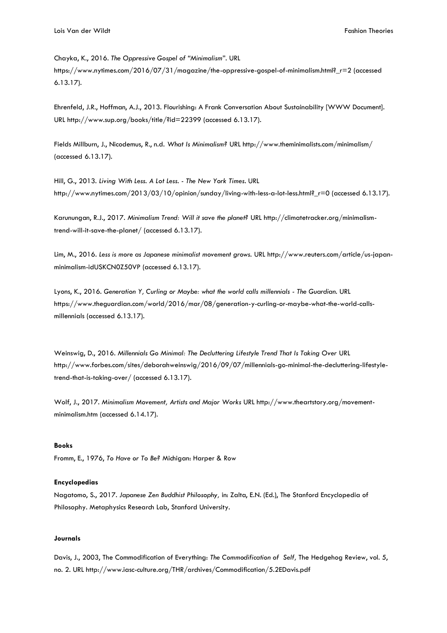Chayka, K., 2016. *The Oppressive Gospel of "Minimalism*". URL

https://www.nytimes.com/2016/07/31/magazine/the-oppressive-gospel-of-minimalism.html?\_r=2 (accessed 6.13.17).

Ehrenfeld, J.R., Hoffman, A.J., 2013. Flourishing: A Frank Conversation About Sustainability [WWW Document]. URL http://www.sup.org/books/title/?id=22399 (accessed 6.13.17).

Fields Millburn, J., Nicodemus, R., n.d. *What Is Minimalism?* URL http://www.theminimalists.com/minimalism/ (accessed 6.13.17).

Hill, G., 2013. *Living With Less. A Lot Less. - The New York Times*. URL http://www.nytimes.com/2013/03/10/opinion/sunday/living-with-less-a-lot-less.html?\_r=0 (accessed 6.13.17).

Karunungan, R.J., 2017. *Minimalism Trend: Will it save the planet?* URL http://climatetracker.org/minimalismtrend-will-it-save-the-planet/ (accessed 6.13.17).

Lim, M., 2016. *Less is more as Japanese minimalist movement grows.* URL http://www.reuters.com/article/us-japanminimalism-idUSKCN0Z50VP (accessed 6.13.17).

Lyons, K., 2016. *Generation Y, Curling or Maybe: what the world calls millennials - The Guardian.* URL https://www.theguardian.com/world/2016/mar/08/generation-y-curling-or-maybe-what-the-world-callsmillennials (accessed 6.13.17).

Weinswig, D., 2016. *Millennials Go Minimal: The Decluttering Lifestyle Trend That Is Taking Over* URL http://www.forbes.com/sites/deborahweinswig/2016/09/07/millennials-go-minimal-the-decluttering-lifestyletrend-that-is-taking-over/ (accessed 6.13.17).

Wolf, J., 2017. *Minimalism Movement, Artists and Major Works* URL http://www.theartstory.org/movementminimalism.htm (accessed 6.14.17).

### **Books**

Fromm, E., 1976, *To Have or To Be?* Michigan: Harper & Row

#### **Encyclopedias**

Nagatomo, S., 2017. *Japanese Zen Buddhist Philosophy,* in: Zalta, E.N. (Ed.), The Stanford Encyclopedia of Philosophy. Metaphysics Research Lab, Stanford University.

## **Journals**

Davis, J., 2003, The Commodification of Everything: *The Commodification of Self,* The Hedgehog Review, vol. 5, no. 2. URL http://www.iasc-culture.org/THR/archives/Commodification/5.2EDavis.pdf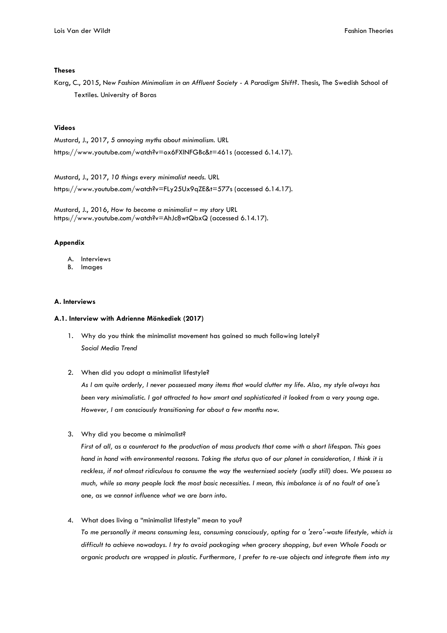## **Theses**

Karg, C., 2015, N*ew Fashion Minimalism in an Affluent Society - A Paradigm Shift?.* Thesis, The Swedish School of Textiles. University of Boras

# **Videos**

Mustard, J., 2017, *5 annoying myths about minimalism.* URL https://www.youtube.com/watch?v=ox6FXINFGBc&t=461s (accessed 6.14.17).

Mustard, J., 2017, *10 things every minimalist needs.* URL https://www.youtube.com/watch?v=FLy25Ux9qZE&t=577s (accessed 6.14.17).

Mustard, J., 2016, *How to become a minimalist – my story* URL https://www.youtube.com/watch?v=AhJc8wtQbxQ (accessed 6.14.17).

### **Appendix**

- A. Interviews
- B. Images

## **A. Interviews**

## **A.1. Interview with Adrienne Mönkediek (2017)**

- 1. Why do you think the minimalist movement has gained so much following lately? *Social Media Trend*
- 2. When did you adopt a minimalist lifestyle?

*As I am quite orderly, I never possessed many items that would clutter my life. Also, my style always has been very minimalistic. I got attracted to how smart and sophisticated it looked from a very young age. However, I am consciously transitioning for about a few months now.*

3. Why did you become a minimalist?

*First of all, as a counteract to the production of mass products that come with a short lifespan. This goes hand in hand with environmental reasons. Taking the status quo of our planet in consideration, I think it is reckless, if not almost ridiculous to consume the way the westernised society (sadly still) does. We possess so much, while so many people lack the most basic necessities. I mean, this imbalance is of no fault of one's one, as we cannot influence what we are born into.*

4. What does living a "minimalist lifestyle" mean to you?

*To me personally it means consuming less, consuming consciously, opting for a 'zero'-waste lifestyle, which is difficult to achieve nowadays. I try to avoid packaging when grocery shopping, but even Whole Foods or organic products are wrapped in plastic. Furthermore, I prefer to re-use objects and integrate them into my*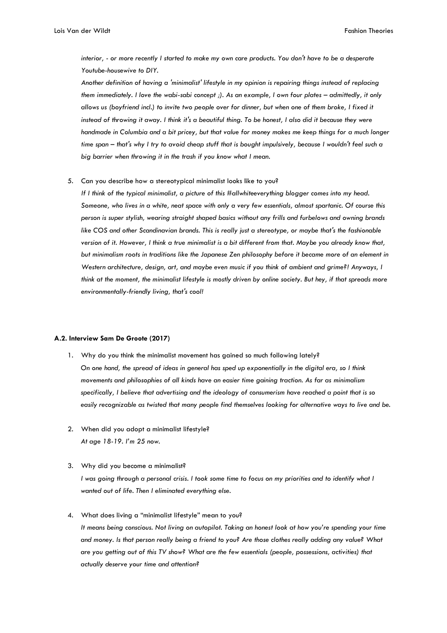*interior, - or more recently I started to make my own care products. You don't have to be a desperate Youtube-housewive to DIY.* 

*Another definition of having a 'minimalist' lifestyle in my opinion is repairing things instead of replacing them immediately. I love the wabi-sabi concept ;). As an example, I own four plates – admittedly, it only allows us (boyfriend incl.) to invite two people over for dinner, but when one of them broke, I fixed it instead of throwing it away. I think it's a beautiful thing. To be honest, I also did it because they were handmade in Columbia and a bit pricey, but that value for money makes me keep things for a much longer time span – that's why I try to avoid cheap stuff that is bought impulsively, because I wouldn't feel such a big barrier when throwing it in the trash if you know what I mean.*

5. Can you describe how a stereotypical minimalist looks like to you?

*If I think of the typical minimalist, a picture of this #allwhiteeverything blogger comes into my head. Someone, who lives in a white, neat space with only a very few essentials, almost spartanic. Of course this person is super stylish, wearing straight shaped basics without any frills and furbelows and owning brands like COS and other Scandinavian brands. This is really just a stereotype, or maybe that's the fashionable version of it. However, I think a true minimalist is a bit different from that. Maybe you already know that, but minimalism roots in traditions like the Japanese Zen philosophy before it became more of an element in Western architecture, design, art, and maybe even music if you think of ambient and grime?! Anyways, I think at the moment, the minimalist lifestyle is mostly driven by online society. But hey, if that spreads more environmentally-friendly living, that's cool!*

#### **A.2. Interview Sam De Groote (2017)**

- 1. Why do you think the minimalist movement has gained so much following lately? *On one hand, the spread of ideas in general has sped up exponentially in the digital era, so I think movements and philosophies of all kinds have an easier time gaining traction. As far as minimalism specifically, I believe that advertising and the ideology of consumerism have reached a point that is so easily recognizable as twisted that many people find themselves looking for alternative ways to live and be.*
- 2. When did you adopt a minimalist lifestyle? *At age 18-19. I'm 25 now.*
- 3. Why did you become a minimalist? *I was going through a personal crisis. I took some time to focus on my priorities and to identify what I wanted out of life. Then I eliminated everything else.*
- 4. What does living a "minimalist lifestyle" mean to you? *It means being conscious. Not living on autopilot. Taking an honest look at how you're spending your time and money. Is that person really being a friend to you? Are those clothes really adding any value? What are you getting out of this TV show? What are the few essentials (people, possessions, activities) that actually deserve your time and attention?*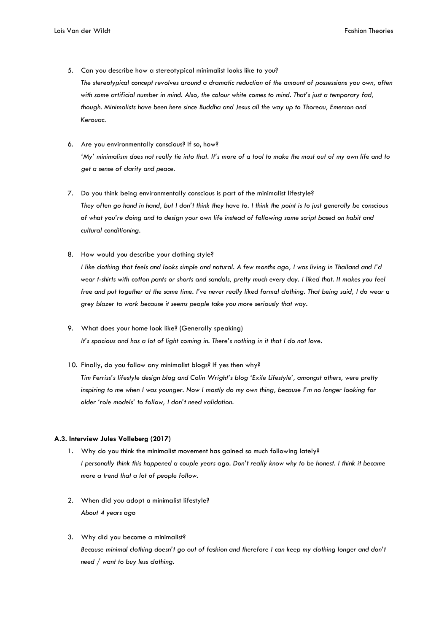- 5. Can you describe how a stereotypical minimalist looks like to you? *The stereotypical concept revolves around a dramatic reduction of the amount of possessions you own, often with some artificial number in mind. Also, the colour white comes to mind. That's just a temporary fad, though. Minimalists have been here since Buddha and Jesus all the way up to Thoreau, Emerson and Kerouac.*
- 6. Are you environmentally conscious? If so, how? 'My' minimalism does not really tie into that. It's more of a tool to make the most out of my own life and to *get a sense of clarity and peace.*
- 7. Do you think being environmentally conscious is part of the minimalist lifestyle? *They often go hand in hand, but I don't think they have to. I think the point is to just generally be conscious of what you're doing and to design your own life instead of following some script based on habit and cultural conditioning.*
- 8. How would you describe your clothing style?

*I like clothing that feels and looks simple and natural. A few months ago, I was living in Thailand and I'd wear t-shirts with cotton pants or shorts and sandals, pretty much every day. I liked that. It makes you feel free and put together at the same time. I've never really liked formal clothing. That being said, I do wear a grey blazer to work because it seems people take you more seriously that way.*

- 9. What does your home look like? (Generally speaking) *It's spacious and has a lot of light coming in. There's nothing in it that I do not love.*
- 10. Finally, do you follow any minimalist blogs? If yes then why? *Tim Ferriss's lifestyle design blog and Colin Wright's blog 'Exile Lifestyle', amongst others, were pretty inspiring to me when I was younger. Now I mostly do my own thing, because I'm no longer looking for older 'role models' to follow, I don't need validation.*

# **A.3. Interview Jules Volleberg (2017)**

- 1. Why do you think the minimalist movement has gained so much following lately? *I personally think this happened a couple years ago. Don't really know why to be honest. I think it became more a trend that a lot of people follow.*
- 2. When did you adopt a minimalist lifestyle? *About 4 years ago*
- 3. Why did you become a minimalist? *Because minimal clothing doesn't go out of fashion and therefore I can keep my clothing longer and don't need / want to buy less clothing.*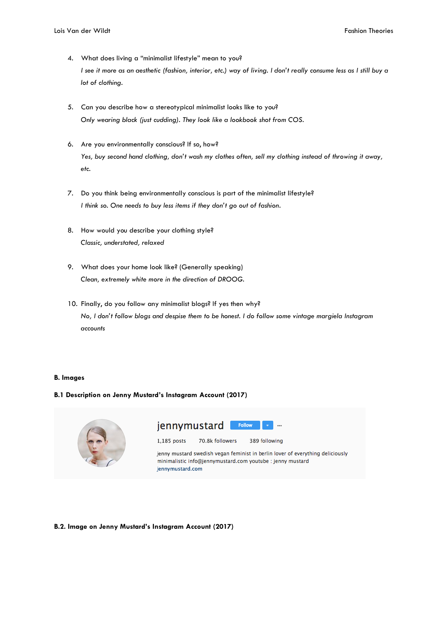- 4. What does living a "minimalist lifestyle" mean to you? *I see it more as an aesthetic (fashion, interior, etc.) way of living. I don't really consume less as I still buy a lot of clothing.*
- 5. Can you describe how a stereotypical minimalist looks like to you? *Only wearing black (just cudding). They look like a lookbook shot from COS.*
- 6. Are you environmentally conscious? If so, how? *Yes, buy second hand clothing, don't wash my clothes often, sell my clothing instead of throwing it away, etc.*
- 7. Do you think being environmentally conscious is part of the minimalist lifestyle? *I think so. One needs to buy less items if they don't go out of fashion.*
- 8. How would you describe your clothing style? *Classic, understated, relaxed*
- 9. What does your home look like? (Generally speaking) *Clean, extremely white more in the direction of DROOG.*
- 10. Finally, do you follow any minimalist blogs? If yes then why? *No, I don't follow blogs and despise them to be honest. I do follow some vintage margiela Instagram accounts*

# **B. Images**

# **B.1 Description on Jenny Mustard's Instagram Account (2017)**



# **B.2. Image on Jenny Mustard's Instagram Account (2017)**